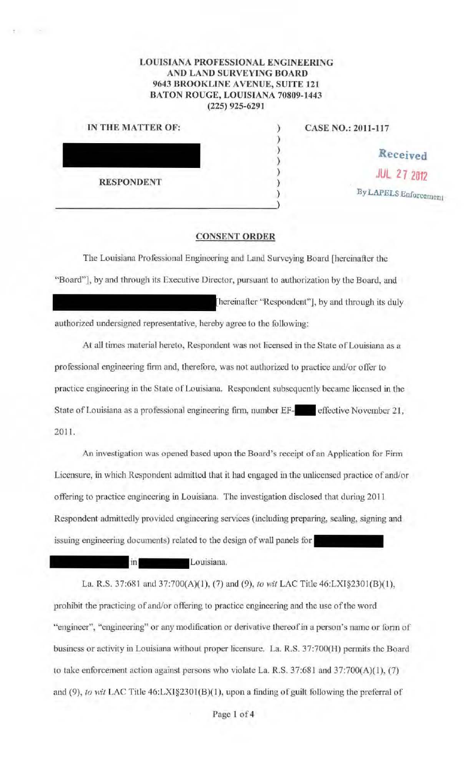## LOUISIANA PROFESSIONAL ENGINEERING AND LAND SURVEYING BOARD 9643 BROOKLINE AVENUE, SUITE 121 BATON ROUGE, LOUISIANA 70809-1443 (225) 925-6291

| IN THE MATTER OF: |  |
|-------------------|--|
|                   |  |
|                   |  |
| <b>RESPONDENT</b> |  |
|                   |  |

CASE NO.: 2011-117

**.Received**  JUL 2 7 *2012*  By LAPELS Enforcement

## CONSENT ORDER

The Louisiana Professional Engineering and Land Surveying Board (hereinafter the "Board"], by and through its Executive Director, pursuant to authorization by the Board, and [hereinafter "Respondent"], by and through its duly

authorized undersigned representative, hereby agree to the following:

At all times material hereto, Respondent was not licensed in the State of Louisiana as a professional engineering firm and, therefore, was not authorized to practice and/or ofrer to practice engineering in the State of Louisiana. Respondent subsequently became licensed in the State of Louisiana as a professional engineering firm, number EF-<br>effective November 21, 2011.

An investigation was opened based upon the Board's receipt of an Application for Finn Licensure, in which Respondent admitted that it had engaged in the unlicensed practice of and/or offering to practice engineering in Louisiana. The investigation disclosed that during 2011 Respondent admittedly provided engineering services (including preparing, sealing, signing and issuing engineering documents) related to the design of wall panels for

Louisiana.

in

La. R.S. 37:681 and 37:700(A)(1), (7) and (9), *to wit* LAC Title 46:LXI§2301(B)(1), prohibit the practicing of and/or offering to practice engineering and the use of the word "engineer", "engineering" or any modification or derivative thereof in a person's name or form of business or activity in Louisiana without proper licensure. La. R.S. 37:700(H) permits the Board to take enforcement action against persons who violate La. R.S. 37:681 and 37:700(A)(l), (7) and (9), *to wit* LAC Tille 46:LX1§2301(B)(l), upon a finding of guilt following the preterral of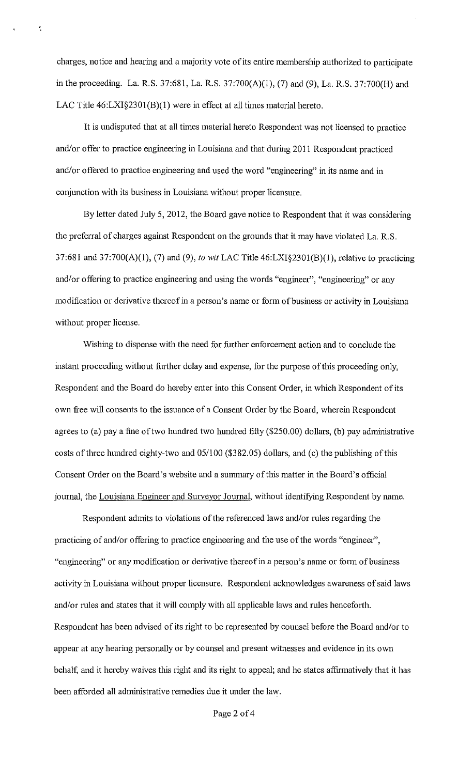charges, notice and hearing and a majority vote of its entire membership authorized to participate in the proceeding. La. R.S. 37:681, La. R.S. 37:700(A)(l), (7) and (9), La. R.S. 37:700(H) and LAC Title 46:LXI§2301(B)(1) were in effect at all times material hereto.

It is undisputed that at all times material hereto Respondent was not licensed to practice and/or offer to practice engineering in Louisiana and that during 2011 Respondent practiced and/or offered to practice engineering and used the word "engineering" in its name and in conjunction with its business in Louisiana without proper licensure.

By letter dated July 5, 2012, the Board gave notice to Respondent that it was considering the preferral of charges against Respondent on the grounds that it may have violated La. R.S. 37:681 and 37:700(A)(l), (7) and (9), *to wit* LAC Title 46:LXI§230l(B)(l), relative to practicing and/or offering to practice engineering and using the words "engineer", "engineering" or any modification or derivative thereof in a person's name or form of business or activity in Louisiana without proper license.

Wishing to dispense with the need for further enforcement action and to conclude the instant proceeding without further delay and expense, for the purpose of this proceeding only, Respondent and the Board do hereby enter into tins Consent Order, in which Respondent of its own free will consents to the issuance of a Consent Order by the Board, wherein Respondent agrees to (a) pay a fine of two hundred two hundred fifty (\$250.00) dollars, (b) pay administrative costs of three hundred eighty-two and 05/100 (\$382.05) dollars, and (c) the publishing of this Consent Order on the Board's website and a summary of this matter in the Board's official journal, the Louisiana Engineer and Surveyor Journal, without identifying Respondent by name.

Respondent adnnts to violations of the referenced laws and/or rules regarding the practicing of and/or offering to practice engineering and the use of the words "engineer", "engineering" or any modification or derivative thereof in a person's name or form of business activity in Louisiana without proper licensure. Respondent acknowledges awareness of said laws and/or rules and states that it will comply with all applicable laws and rules henceforth. Respondent has been advised of its right to be represented by counsel before the Board and/or to appear at any hearing personally or by counsel and present witnesses and evidence in its own behalf, and it hereby waives this right and its right to appeal; and he states affirmatively that it has been afforded all administrative remedies due it under the law.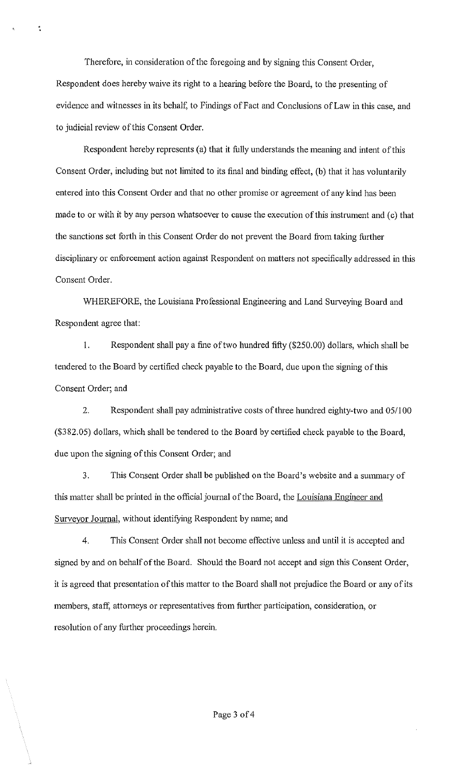Therefore, in consideration of the foregoing and by signing this Consent Order, Respondent does hereby waive its right to a hearing before the Board, to the presenting of evidence and witnesses in its behalf, to Findings of Fact and Conclusions of Law in this case, and to judicial review of this Consent Order.

 $\ddot{\bullet}$ 

Respondent hereby represents (a) that it fully understands the meaning and intent of this Consent Order, including but not limited to its final and binding effect, (b) that it has voluntarily entered into this Consent Order and that no other promise or agreement of any kind has been made to or with it by any person whatsoever to cause the execution of this instrument and (c) that the sanctions set forth in this Consent Order do not prevent the Board from taking further disciplinary or enforcement action against Respondent on matters not specifically addressed in this Consent Order.

WHEREFORE, the Louisiana Professional Engineering and Land Surveying Board and Respondent agree that:

1. Respondent shall pay a fine of two hundred fifty (\$250.00) dollars, which shall be tendered to the Board by certified check payable to the Board, due upon the signing of this Consent Order; and

2. Respondent shall pay administrative costs of three hundred eighty-two and 051100 (\$382.05) dollars, which shall be tendered to the Board by certified check payable to the Board, due upon the signing of this Consent Order; and

3. This Consent Order shall be published on the Board's website and a sununary of this matter shall be printed in the official journal of the Board, the Louisiana Engineer and Surveyor Journal, without identifying Respondent by name; and

4. This Consent Order shall not become effective unless and until it is accepted and signed by and on behalf of the Board. Should the Board not accept and sign this Consent Order, it is agreed that presentation of this matter to the Board shall not prejudice the Board or any of its members, staff, attorneys or representatives from further participation, consideration, or resolution of any further proceedings herein.